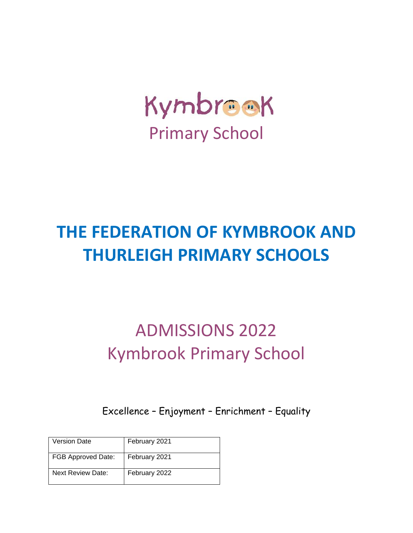

# **THE FEDERATION OF KYMBROOK AND THURLEIGH PRIMARY SCHOOLS**

# ADMISSIONS 2022 Kymbrook Primary School

Excellence – Enjoyment – Enrichment – Equality

| <b>Version Date</b>       | February 2021 |
|---------------------------|---------------|
| <b>FGB Approved Date:</b> | February 2021 |
| <b>Next Review Date:</b>  | February 2022 |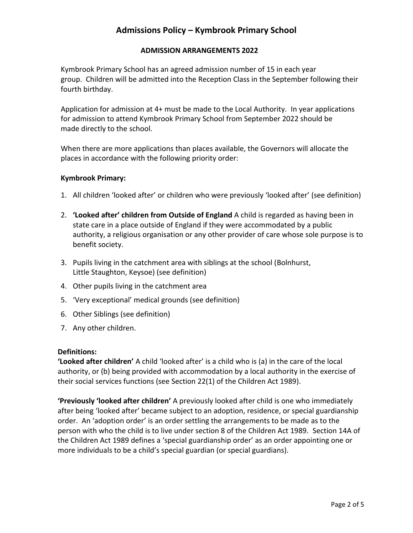# **Admissions Policy – Kymbrook Primary School**

## **ADMISSION ARRANGEMENTS 2022**

Kymbrook Primary School has an agreed admission number of 15 in each year group. Children will be admitted into the Reception Class in the September following their fourth birthday.

Application for admission at 4+ must be made to the Local Authority. In year applications for admission to attend Kymbrook Primary School from September 2022 should be made directly to the school.

When there are more applications than places available, the Governors will allocate the places in accordance with the following priority order:

#### **Kymbrook Primary:**

- 1. All children 'looked after' or children who were previously 'looked after' (see definition)
- 2. **'Looked after' children from Outside of England** A child is regarded as having been in state care in a place outside of England if they were accommodated by a public authority, a religious organisation or any other provider of care whose sole purpose is to benefit society.
- 3. Pupils living in the catchment area with siblings at the school (Bolnhurst, Little Staughton, Keysoe) (see definition)
- 4. Other pupils living in the catchment area
- 5. 'Very exceptional' medical grounds (see definition)
- 6. Other Siblings (see definition)
- 7. Any other children.

### **Definitions:**

**'Looked after children'** A child 'looked after' is a child who is (a) in the care of the local authority, or (b) being provided with accommodation by a local authority in the exercise of their social services functions (see Section 22(1) of the Children Act 1989).

**'Previously 'looked after children'** A previously looked after child is one who immediately after being 'looked after' became subject to an adoption, residence, or special guardianship order. An 'adoption order' is an order settling the arrangements to be made as to the person with who the child is to live under section 8 of the Children Act 1989. Section 14A of the Children Act 1989 defines a 'special guardianship order' as an order appointing one or more individuals to be a child's special guardian (or special guardians).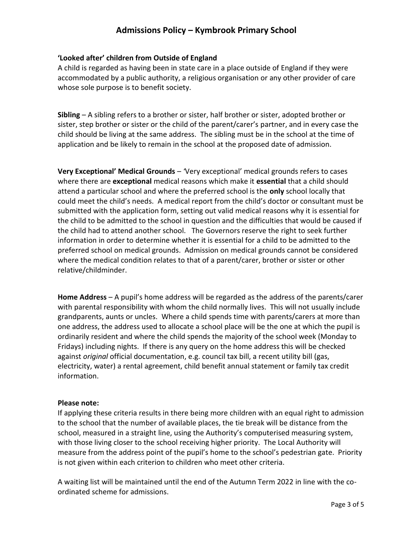# **Admissions Policy – Kymbrook Primary School**

## **'Looked after' children from Outside of England**

A child is regarded as having been in state care in a place outside of England if they were accommodated by a public authority, a religious organisation or any other provider of care whose sole purpose is to benefit society.

**Sibling** – A sibling refers to a brother or sister, half brother or sister, adopted brother or sister, step brother or sister or the child of the parent/carer's partner, and in every case the child should be living at the same address. The sibling must be in the school at the time of application and be likely to remain in the school at the proposed date of admission.

**Very Exceptional' Medical Grounds** – *'*Very exceptional' medical grounds refers to cases where there are **exceptional** medical reasons which make it **essential** that a child should attend a particular school and where the preferred school is the **only** school locally that could meet the child's needs. A medical report from the child's doctor or consultant must be submitted with the application form, setting out valid medical reasons why it is essential for the child to be admitted to the school in question and the difficulties that would be caused if the child had to attend another school. The Governors reserve the right to seek further information in order to determine whether it is essential for a child to be admitted to the preferred school on medical grounds. Admission on medical grounds cannot be considered where the medical condition relates to that of a parent/carer, brother or sister or other relative/childminder.

**Home Address** – A pupil's home address will be regarded as the address of the parents/carer with parental responsibility with whom the child normally lives. This will not usually include grandparents, aunts or uncles. Where a child spends time with parents/carers at more than one address, the address used to allocate a school place will be the one at which the pupil is ordinarily resident and where the child spends the majority of the school week (Monday to Fridays) including nights. If there is any query on the home address this will be checked against *original* official documentation, e.g. council tax bill, a recent utility bill (gas, electricity, water) a rental agreement, child benefit annual statement or family tax credit information.

### **Please note:**

If applying these criteria results in there being more children with an equal right to admission to the school that the number of available places, the tie break will be distance from the school, measured in a straight line, using the Authority's computerised measuring system, with those living closer to the school receiving higher priority. The Local Authority will measure from the address point of the pupil's home to the school's pedestrian gate. Priority is not given within each criterion to children who meet other criteria.

A waiting list will be maintained until the end of the Autumn Term 2022 in line with the coordinated scheme for admissions.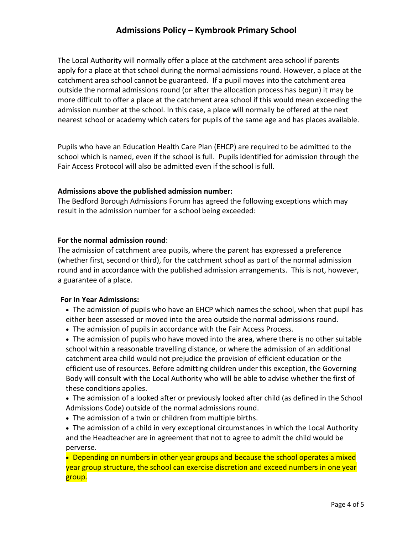The Local Authority will normally offer a place at the catchment area school if parents apply for a place at that school during the normal admissions round. However, a place at the catchment area school cannot be guaranteed. If a pupil moves into the catchment area outside the normal admissions round (or after the allocation process has begun) it may be more difficult to offer a place at the catchment area school if this would mean exceeding the admission number at the school. In this case, a place will normally be offered at the next nearest school or academy which caters for pupils of the same age and has places available.

Pupils who have an Education Health Care Plan (EHCP) are required to be admitted to the school which is named, even if the school is full. Pupils identified for admission through the Fair Access Protocol will also be admitted even if the school is full.

### **Admissions above the published admission number:**

The Bedford Borough Admissions Forum has agreed the following exceptions which may result in the admission number for a school being exceeded:

## **For the normal admission round**:

The admission of catchment area pupils, where the parent has expressed a preference (whether first, second or third), for the catchment school as part of the normal admission round and in accordance with the published admission arrangements. This is not, however, a guarantee of a place.

# **For In Year Admissions:**

- The admission of pupils who have an EHCP which names the school, when that pupil has either been assessed or moved into the area outside the normal admissions round.
- The admission of pupils in accordance with the Fair Access Process.

 The admission of pupils who have moved into the area, where there is no other suitable school within a reasonable travelling distance, or where the admission of an additional catchment area child would not prejudice the provision of efficient education or the efficient use of resources. Before admitting children under this exception, the Governing Body will consult with the Local Authority who will be able to advise whether the first of these conditions applies.

 The admission of a looked after or previously looked after child (as defined in the School Admissions Code) outside of the normal admissions round.

The admission of a twin or children from multiple births.

 The admission of a child in very exceptional circumstances in which the Local Authority and the Headteacher are in agreement that not to agree to admit the child would be perverse.

• Depending on numbers in other year groups and because the school operates a mixed year group structure, the school can exercise discretion and exceed numbers in one year group.